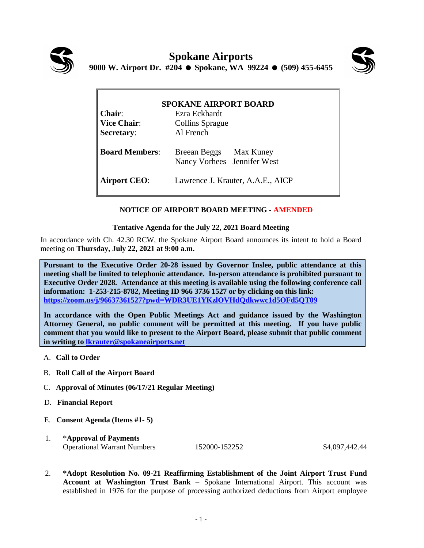



| <b>SPOKANE AIRPORT BOARD</b> |                                                       |
|------------------------------|-------------------------------------------------------|
| <b>Chair:</b>                | Ezra Eckhardt                                         |
| <b>Vice Chair:</b>           | <b>Collins Sprague</b>                                |
| <b>Secretary:</b>            | Al French                                             |
| <b>Board Members:</b>        | Breean Beggs Max Kuney<br>Nancy Vorhees Jennifer West |
| <b>Airport CEO:</b>          | Lawrence J. Krauter, A.A.E., AICP                     |

## **NOTICE OF AIRPORT BOARD MEETING - AMENDED**

## **Tentative Agenda for the July 22, 2021 Board Meeting**

In accordance with Ch. 42.30 RCW, the Spokane Airport Board announces its intent to hold a Board meeting on **Thursday, July 22, 2021 at 9:00 a.m.** 

**Pursuant to the Executive Order 20-28 issued by Governor Inslee, public attendance at this meeting shall be limited to telephonic attendance. In-person attendance is prohibited pursuant to Executive Order 2028. Attendance at this meeting is available using the following conference call information: 1-253-215-8782, Meeting ID 966 3736 1527 or by clicking on this link: <https://zoom.us/j/96637361527?pwd=WDR3UE1YKzlOVHdQdkwwc1d5OFd5QT09>**

**In accordance with the Open Public Meetings Act and guidance issued by the Washington Attorney General, no public comment will be permitted at this meeting. If you have public comment that you would like to present to the Airport Board, please submit that public comment in writing to [lkrauter@spokaneairports.net](mailto:lkrauter@spokaneairports.net)**

- A. **Call to Order**
- B. **Roll Call of the Airport Board**
- C. **Approval of Minutes (06/17/21 Regular Meeting)**
- D. **Financial Report**
- E. **Consent Agenda (Items #1- 5)**
- 1. \***Approval of Payments** Operational Warrant Numbers 152000-152252 \$4,097,442.44

2. **\*Adopt Resolution No. 09-21 Reaffirming Establishment of the Joint Airport Trust Fund Account at Washington Trust Bank** – Spokane International Airport. This account was established in 1976 for the purpose of processing authorized deductions from Airport employee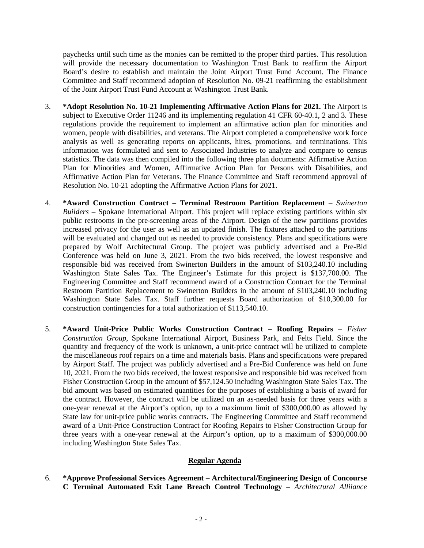paychecks until such time as the monies can be remitted to the proper third parties. This resolution will provide the necessary documentation to Washington Trust Bank to reaffirm the Airport Board's desire to establish and maintain the Joint Airport Trust Fund Account. The Finance Committee and Staff recommend adoption of Resolution No. 09-21 reaffirming the establishment of the Joint Airport Trust Fund Account at Washington Trust Bank.

- 3. **\*Adopt Resolution No. 10-21 Implementing Affirmative Action Plans for 2021.** The Airport is subject to Executive Order 11246 and its implementing regulation 41 CFR 60-40.1, 2 and 3. These regulations provide the requirement to implement an affirmative action plan for minorities and women, people with disabilities, and veterans. The Airport completed a comprehensive work force analysis as well as generating reports on applicants, hires, promotions, and terminations. This information was formulated and sent to Associated Industries to analyze and compare to census statistics. The data was then compiled into the following three plan documents: Affirmative Action Plan for Minorities and Women, Affirmative Action Plan for Persons with Disabilities, and Affirmative Action Plan for Veterans. The Finance Committee and Staff recommend approval of Resolution No. 10-21 adopting the Affirmative Action Plans for 2021.
- 4. **\*Award Construction Contract – Terminal Restroom Partition Replacement** *Swinerton Builders* – Spokane International Airport. This project will replace existing partitions within six public restrooms in the pre-screening areas of the Airport. Design of the new partitions provides increased privacy for the user as well as an updated finish. The fixtures attached to the partitions will be evaluated and changed out as needed to provide consistency. Plans and specifications were prepared by Wolf Architectural Group. The project was publicly advertised and a Pre-Bid Conference was held on June 3, 2021. From the two bids received, the lowest responsive and responsible bid was received from Swinerton Builders in the amount of \$103,240.10 including Washington State Sales Tax. The Engineer's Estimate for this project is \$137,700.00. The Engineering Committee and Staff recommend award of a Construction Contract for the Terminal Restroom Partition Replacement to Swinerton Builders in the amount of \$103,240.10 including Washington State Sales Tax. Staff further requests Board authorization of \$10,300.00 for construction contingencies for a total authorization of \$113,540.10.
- 5. **\*Award Unit-Price Public Works Construction Contract – Roofing Repairs**  *Fisher Construction Group*, Spokane International Airport, Business Park, and Felts Field. Since the quantity and frequency of the work is unknown, a unit-price contract will be utilized to complete the miscellaneous roof repairs on a time and materials basis. Plans and specifications were prepared by Airport Staff. The project was publicly advertised and a Pre-Bid Conference was held on June 10, 2021. From the two bids received, the lowest responsive and responsible bid was received from Fisher Construction Group in the amount of \$57,124.50 including Washington State Sales Tax. The bid amount was based on estimated quantities for the purposes of establishing a basis of award for the contract. However, the contract will be utilized on an as-needed basis for three years with a one-year renewal at the Airport's option, up to a maximum limit of \$300,000.00 as allowed by State law for unit-price public works contracts. The Engineering Committee and Staff recommend award of a Unit-Price Construction Contract for Roofing Repairs to Fisher Construction Group for three years with a one-year renewal at the Airport's option, up to a maximum of \$300,000.00 including Washington State Sales Tax.

## **Regular Agenda**

6. **\*Approve Professional Services Agreement – Architectural/Engineering Design of Concourse C Terminal Automated Exit Lane Breach Control Technology** – *Architectural Alliiance*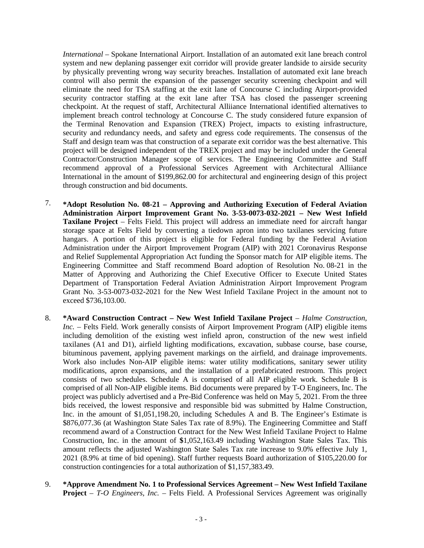*International* – Spokane International Airport. Installation of an automated exit lane breach control system and new deplaning passenger exit corridor will provide greater landside to airside security by physically preventing wrong way security breaches. Installation of automated exit lane breach control will also permit the expansion of the passenger security screening checkpoint and will eliminate the need for TSA staffing at the exit lane of Concourse C including Airport-provided security contractor staffing at the exit lane after TSA has closed the passenger screening checkpoint. At the request of staff, Architectural Alliiance International identified alternatives to implement breach control technology at Concourse C. The study considered future expansion of the Terminal Renovation and Expansion (TREX) Project, impacts to existing infrastructure, security and redundancy needs, and safety and egress code requirements. The consensus of the Staff and design team was that construction of a separate exit corridor was the best alternative. This project will be designed independent of the TREX project and may be included under the General Contractor/Construction Manager scope of services. The Engineering Committee and Staff recommend approval of a Professional Services Agreement with Architectural Alliiance International in the amount of \$199,862.00 for architectural and engineering design of this project through construction and bid documents.

- 7. **\*Adopt Resolution No. 08-21 – Approving and Authorizing Execution of Federal Aviation Administration Airport Improvement Grant No. 3-53-0073-032-2021 – New West Infield Taxilane Project** – Felts Field. This project will address an immediate need for aircraft hangar storage space at Felts Field by converting a tiedown apron into two taxilanes servicing future hangars. A portion of this project is eligible for Federal funding by the Federal Aviation Administration under the Airport Improvement Program (AIP) with 2021 Coronavirus Response and Relief Supplemental Appropriation Act funding the Sponsor match for AIP eligible items. The Engineering Committee and Staff recommend Board adoption of Resolution No. 08-21 in the Matter of Approving and Authorizing the Chief Executive Officer to Execute United States Department of Transportation Federal Aviation Administration Airport Improvement Program Grant No. 3-53-0073-032-2021 for the New West Infield Taxilane Project in the amount not to exceed \$736,103.00.
- 8. **\*Award Construction Contract New West Infield Taxilane Project** *Halme Construction***,** *Inc.* – Felts Field. Work generally consists of Airport Improvement Program (AIP) eligible items including demolition of the existing west infield apron, construction of the new west infield taxilanes (A1 and D1), airfield lighting modifications, excavation, subbase course, base course, bituminous pavement, applying pavement markings on the airfield, and drainage improvements. Work also includes Non-AIP eligible items: water utility modifications, sanitary sewer utility modifications, apron expansions, and the installation of a prefabricated restroom. This project consists of two schedules. Schedule A is comprised of all AIP eligible work. Schedule B is comprised of all Non-AIP eligible items. Bid documents were prepared by T-O Engineers, Inc. The project was publicly advertised and a Pre-Bid Conference was held on May 5, 2021. From the three bids received, the lowest responsive and responsible bid was submitted by Halme Construction, Inc. in the amount of \$1,051,198.20, including Schedules A and B. The Engineer's Estimate is \$876,077.36 (at Washington State Sales Tax rate of 8.9%). The Engineering Committee and Staff recommend award of a Construction Contract for the New West Infield Taxilane Project to Halme Construction, Inc. in the amount of **\$**1,052,163.49 including Washington State Sales Tax. This amount reflects the adjusted Washington State Sales Tax rate increase to 9.0% effective July 1, 2021 (8.9% at time of bid opening). Staff further requests Board authorization of \$105,220.00 for construction contingencies for a total authorization of \$1,157,383.49.
- 9. **\*Approve Amendment No. 1 to Professional Services Agreement – New West Infield Taxilane Project** – *T-O Engineers, Inc.* – Felts Field. A Professional Services Agreement was originally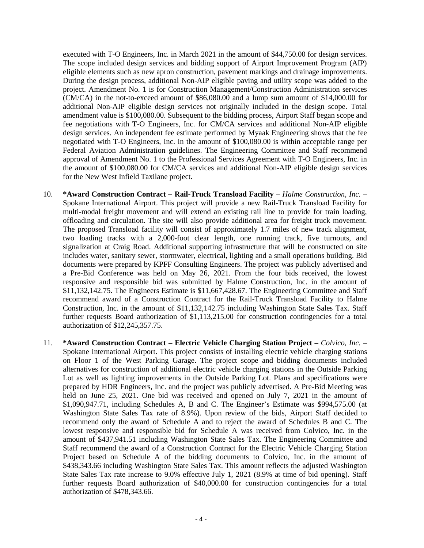executed with T-O Engineers, Inc. in March 2021 in the amount of \$44,750.00 for design services. The scope included design services and bidding support of Airport Improvement Program (AIP) eligible elements such as new apron construction, pavement markings and drainage improvements. During the design process, additional Non-AIP eligible paving and utility scope was added to the project. Amendment No. 1 is for Construction Management/Construction Administration services (CM/CA) in the not-to-exceed amount of \$86,080.00 and a lump sum amount of \$14,000.00 for additional Non-AIP eligible design services not originally included in the design scope. Total amendment value is \$100,080.00. Subsequent to the bidding process, Airport Staff began scope and fee negotiations with T-O Engineers, Inc. for CM/CA services and additional Non-AIP eligible design services. An independent fee estimate performed by Myaak Engineering shows that the fee negotiated with T-O Engineers, Inc. in the amount of \$100,080.00 is within acceptable range per Federal Aviation Administration guidelines. The Engineering Committee and Staff recommend approval of Amendment No. 1 to the Professional Services Agreement with T-O Engineers, Inc. in the amount of \$100,080.00 for CM/CA services and additional Non-AIP eligible design services for the New West Infield Taxilane project.

- 10. **\*Award Construction Contract – Rail-Truck Transload Facility** *Halme Construction, Inc.* Spokane International Airport. This project will provide a new Rail-Truck Transload Facility for multi-modal freight movement and will extend an existing rail line to provide for train loading, offloading and circulation. The site will also provide additional area for freight truck movement. The proposed Transload facility will consist of approximately 1.7 miles of new track alignment, two loading tracks with a 2,000-foot clear length, one running track, five turnouts, and signalization at Craig Road. Additional supporting infrastructure that will be constructed on site includes water, sanitary sewer, stormwater, electrical, lighting and a small operations building. Bid documents were prepared by KPFF Consulting Engineers. The project was publicly advertised and a Pre-Bid Conference was held on May 26, 2021. From the four bids received, the lowest responsive and responsible bid was submitted by Halme Construction, Inc. in the amount of \$11,132,142.75. The Engineers Estimate is \$11,667,428.67. The Engineering Committee and Staff recommend award of a Construction Contract for the Rail-Truck Transload Facility to Halme Construction, Inc. in the amount of \$11,132,142.75 including Washington State Sales Tax. Staff further requests Board authorization of \$1,113,215.00 for construction contingencies for a total authorization of \$12,245,357.75.
- 11. **\*Award Construction Contract – Electric Vehicle Charging Station Project –** *Colvico, Inc.* Spokane International Airport. This project consists of installing electric vehicle charging stations on Floor 1 of the West Parking Garage. The project scope and bidding documents included alternatives for construction of additional electric vehicle charging stations in the Outside Parking Lot as well as lighting improvements in the Outside Parking Lot. Plans and specifications were prepared by HDR Engineers, Inc. and the project was publicly advertised. A Pre-Bid Meeting was held on June 25, 2021. One bid was received and opened on July 7, 2021 in the amount of \$1,090,947.71, including Schedules A, B and C. The Engineer's Estimate was \$994,575.00 (at Washington State Sales Tax rate of 8.9%). Upon review of the bids, Airport Staff decided to recommend only the award of Schedule A and to reject the award of Schedules B and C. The lowest responsive and responsible bid for Schedule A was received from Colvico, Inc. in the amount of \$437,941.51 including Washington State Sales Tax. The Engineering Committee and Staff recommend the award of a Construction Contract for the Electric Vehicle Charging Station Project based on Schedule A of the bidding documents to Colvico, Inc. in the amount of \$438,343.66 including Washington State Sales Tax. This amount reflects the adjusted Washington State Sales Tax rate increase to 9.0% effective July 1, 2021 (8.9% at time of bid opening). Staff further requests Board authorization of \$40,000.00 for construction contingencies for a total authorization of \$478,343.66.